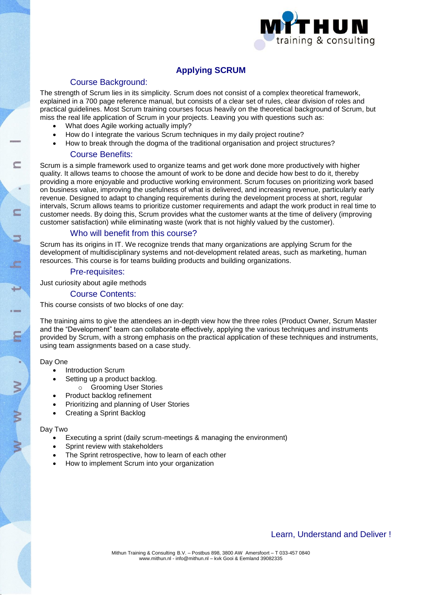

# **Applying SCRUM**

# Course Background:

The strength of Scrum lies in its simplicity. Scrum does not consist of a complex theoretical framework, explained in a 700 page reference manual, but consists of a clear set of rules, clear division of roles and practical guidelines. Most Scrum training courses focus heavily on the theoretical background of Scrum, but miss the real life application of Scrum in your projects. Leaving you with questions such as:

- What does Agile working actually imply?
- How do I integrate the various Scrum techniques in my daily project routine?
- How to break through the dogma of the traditional organisation and project structures?

# Course Benefits:

Scrum is a simple framework used to organize teams and get work done more productively with higher quality. It allows teams to choose the amount of work to be done and decide how best to do it, thereby providing a more enjoyable and productive working environment. Scrum focuses on prioritizing work based on business value, improving the usefulness of what is delivered, and increasing revenue, particularly early revenue. Designed to adapt to changing requirements during the development process at short, regular intervals, Scrum allows teams to prioritize customer requirements and adapt the work product in real time to customer needs. By doing this, Scrum provides what the customer wants at the time of delivery (improving customer satisfaction) while eliminating waste (work that is not highly valued by the customer).

# Who will benefit from this course?

Scrum has its origins in IT. We recognize trends that many organizations are applying Scrum for the development of multidisciplinary systems and not-development related areas, such as marketing, human resources. This course is for teams building products and building organizations.

### Pre-requisites:

Just curiosity about agile methods

# Course Contents:

This course consists of two blocks of one day:

The training aims to give the attendees an in-depth view how the three roles (Product Owner, Scrum Master and the "Development" team can collaborate effectively, applying the various techniques and instruments provided by Scrum, with a strong emphasis on the practical application of these techniques and instruments, using team assignments based on a case study.

#### Day One

- Introduction Scrum
	- Setting up a product backlog.
		- o Grooming User Stories
- Product backlog refinement
- Prioritizing and planning of User Stories
- Creating a Sprint Backlog

#### Day Two

- Executing a sprint (daily scrum-meetings & managing the environment)
- Sprint review with stakeholders
- The Sprint retrospective, how to learn of each other
- How to implement Scrum into your organization

# Learn, Understand and Deliver !